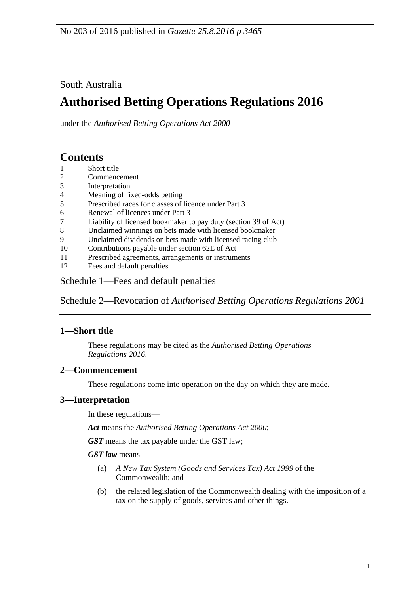South Australia

# **Authorised Betting Operations Regulations 2016**

under the *Authorised Betting Operations Act 2000*

# **Contents**

- 1 [Short title](#page-0-0)
- 2 [Commencement](#page-0-1)
- 3 [Interpretation](#page-0-2)
- 4 [Meaning of fixed-odds betting](#page-1-0)
- 5 [Prescribed races for classes of licence under Part](#page-1-1) 3
- 6 [Renewal of licences under Part](#page-2-0) 3
- 7 [Liability of licensed bookmaker to pay duty \(section](#page-2-1) 39 of Act)
- 8 [Unclaimed winnings on bets made with licensed bookmaker](#page-2-2)
- 9 [Unclaimed dividends on bets made with licensed racing club](#page-3-0)
- 10 [Contributions payable under section 62E of Act](#page-3-1)
- 11 [Prescribed agreements, arrangements or instruments](#page-4-0)
- 12 [Fees and default penalties](#page-4-1)

Schedule [1—Fees and default penalties](#page-5-0)

Schedule 2—Revocation of *[Authorised Betting Operations Regulations](#page-5-1) 2001*

# <span id="page-0-0"></span>**1—Short title**

These regulations may be cited as the *Authorised Betting Operations Regulations 2016*.

# <span id="page-0-1"></span>**2—Commencement**

These regulations come into operation on the day on which they are made.

# <span id="page-0-2"></span>**3—Interpretation**

In these regulations—

*Act* means the *[Authorised Betting Operations Act](http://www.legislation.sa.gov.au/index.aspx?action=legref&type=act&legtitle=Authorised%20Betting%20Operations%20Act%202000) 2000*;

*GST* means the tax payable under the GST law;

*GST law* means—

- (a) *A New Tax System (Goods and Services Tax) Act 1999* of the Commonwealth; and
- (b) the related legislation of the Commonwealth dealing with the imposition of a tax on the supply of goods, services and other things.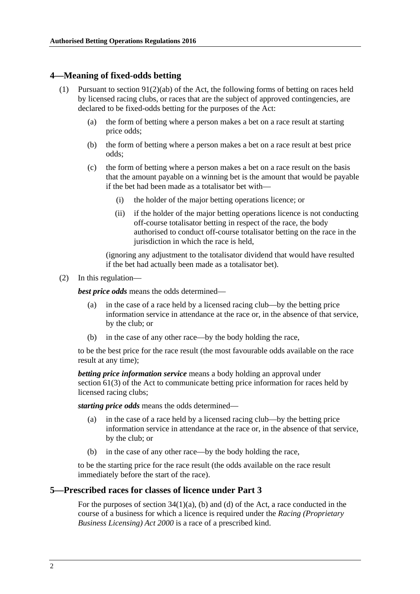#### <span id="page-1-0"></span>**4—Meaning of fixed-odds betting**

- (1) Pursuant to section  $91(2)(ab)$  of the Act, the following forms of betting on races held by licensed racing clubs, or races that are the subject of approved contingencies, are declared to be fixed-odds betting for the purposes of the Act:
	- (a) the form of betting where a person makes a bet on a race result at starting price odds;
	- (b) the form of betting where a person makes a bet on a race result at best price odds;
	- (c) the form of betting where a person makes a bet on a race result on the basis that the amount payable on a winning bet is the amount that would be payable if the bet had been made as a totalisator bet with—
		- (i) the holder of the major betting operations licence; or
		- (ii) if the holder of the major betting operations licence is not conducting off-course totalisator betting in respect of the race, the body authorised to conduct off-course totalisator betting on the race in the jurisdiction in which the race is held.

(ignoring any adjustment to the totalisator dividend that would have resulted if the bet had actually been made as a totalisator bet).

(2) In this regulation—

*best price odds* means the odds determined—

- (a) in the case of a race held by a licensed racing club—by the betting price information service in attendance at the race or, in the absence of that service, by the club; or
- (b) in the case of any other race—by the body holding the race,

to be the best price for the race result (the most favourable odds available on the race result at any time);

*betting price information service* means a body holding an approval under section 61(3) of the Act to communicate betting price information for races held by licensed racing clubs;

*starting price odds* means the odds determined—

- (a) in the case of a race held by a licensed racing club—by the betting price information service in attendance at the race or, in the absence of that service, by the club; or
- (b) in the case of any other race—by the body holding the race,

to be the starting price for the race result (the odds available on the race result immediately before the start of the race).

#### <span id="page-1-1"></span>**5—Prescribed races for classes of licence under Part 3**

For the purposes of section  $34(1)(a)$ , (b) and (d) of the Act, a race conducted in the course of a business for which a licence is required under the *[Racing \(Proprietary](http://www.legislation.sa.gov.au/index.aspx?action=legref&type=act&legtitle=Racing%20(Proprietary%20Business%20Licensing)%20Act%202000)  [Business Licensing\) Act](http://www.legislation.sa.gov.au/index.aspx?action=legref&type=act&legtitle=Racing%20(Proprietary%20Business%20Licensing)%20Act%202000) 2000* is a race of a prescribed kind.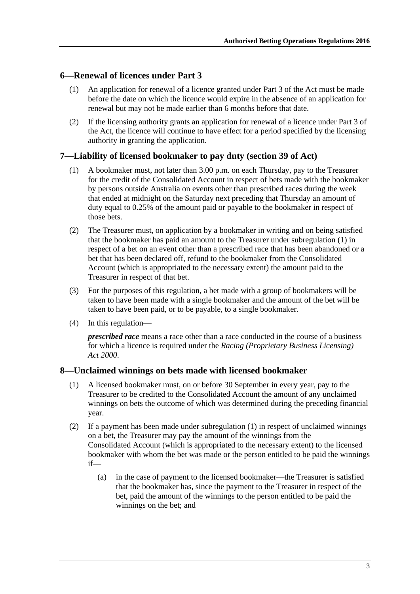### <span id="page-2-0"></span>**6—Renewal of licences under Part 3**

- (1) An application for renewal of a licence granted under Part 3 of the Act must be made before the date on which the licence would expire in the absence of an application for renewal but may not be made earlier than 6 months before that date.
- (2) If the licensing authority grants an application for renewal of a licence under Part 3 of the Act, the licence will continue to have effect for a period specified by the licensing authority in granting the application.

### <span id="page-2-3"></span><span id="page-2-1"></span>**7—Liability of licensed bookmaker to pay duty (section 39 of Act)**

- (1) A bookmaker must, not later than 3.00 p.m. on each Thursday, pay to the Treasurer for the credit of the Consolidated Account in respect of bets made with the bookmaker by persons outside Australia on events other than prescribed races during the week that ended at midnight on the Saturday next preceding that Thursday an amount of duty equal to 0.25% of the amount paid or payable to the bookmaker in respect of those bets.
- (2) The Treasurer must, on application by a bookmaker in writing and on being satisfied that the bookmaker has paid an amount to the Treasurer under [subregulation](#page-2-3) (1) in respect of a bet on an event other than a prescribed race that has been abandoned or a bet that has been declared off, refund to the bookmaker from the Consolidated Account (which is appropriated to the necessary extent) the amount paid to the Treasurer in respect of that bet.
- (3) For the purposes of this regulation, a bet made with a group of bookmakers will be taken to have been made with a single bookmaker and the amount of the bet will be taken to have been paid, or to be payable, to a single bookmaker.
- (4) In this regulation—

*prescribed race* means a race other than a race conducted in the course of a business for which a licence is required under the *[Racing \(Proprietary Business Licensing\)](http://www.legislation.sa.gov.au/index.aspx?action=legref&type=act&legtitle=Racing%20(Proprietary%20Business%20Licensing)%20Act%202000)  Act [2000](http://www.legislation.sa.gov.au/index.aspx?action=legref&type=act&legtitle=Racing%20(Proprietary%20Business%20Licensing)%20Act%202000)*.

#### <span id="page-2-4"></span><span id="page-2-2"></span>**8—Unclaimed winnings on bets made with licensed bookmaker**

- (1) A licensed bookmaker must, on or before 30 September in every year, pay to the Treasurer to be credited to the Consolidated Account the amount of any unclaimed winnings on bets the outcome of which was determined during the preceding financial year.
- (2) If a payment has been made under [subregulation](#page-2-4) (1) in respect of unclaimed winnings on a bet, the Treasurer may pay the amount of the winnings from the Consolidated Account (which is appropriated to the necessary extent) to the licensed bookmaker with whom the bet was made or the person entitled to be paid the winnings if—
	- (a) in the case of payment to the licensed bookmaker—the Treasurer is satisfied that the bookmaker has, since the payment to the Treasurer in respect of the bet, paid the amount of the winnings to the person entitled to be paid the winnings on the bet; and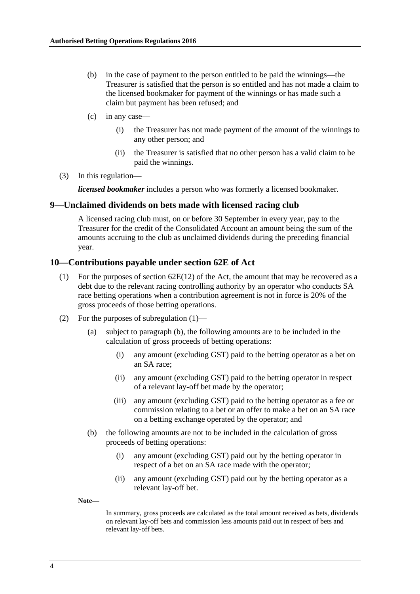- (b) in the case of payment to the person entitled to be paid the winnings—the Treasurer is satisfied that the person is so entitled and has not made a claim to the licensed bookmaker for payment of the winnings or has made such a claim but payment has been refused; and
- (c) in any case—
	- (i) the Treasurer has not made payment of the amount of the winnings to any other person; and
	- (ii) the Treasurer is satisfied that no other person has a valid claim to be paid the winnings.
- (3) In this regulation—

*licensed bookmaker* includes a person who was formerly a licensed bookmaker.

#### <span id="page-3-0"></span>**9—Unclaimed dividends on bets made with licensed racing club**

A licensed racing club must, on or before 30 September in every year, pay to the Treasurer for the credit of the Consolidated Account an amount being the sum of the amounts accruing to the club as unclaimed dividends during the preceding financial year.

#### <span id="page-3-2"></span><span id="page-3-1"></span>**10—Contributions payable under section 62E of Act**

- (1) For the purposes of section  $62E(12)$  of the Act, the amount that may be recovered as a debt due to the relevant racing controlling authority by an operator who conducts SA race betting operations when a contribution agreement is not in force is 20% of the gross proceeds of those betting operations.
- (2) For the purposes of [subregulation](#page-3-2) (1)—
	- (a) subject to [paragraph](#page-3-3) (b), the following amounts are to be included in the calculation of gross proceeds of betting operations:
		- (i) any amount (excluding GST) paid to the betting operator as a bet on an SA race;
		- (ii) any amount (excluding GST) paid to the betting operator in respect of a relevant lay-off bet made by the operator;
		- (iii) any amount (excluding GST) paid to the betting operator as a fee or commission relating to a bet or an offer to make a bet on an SA race on a betting exchange operated by the operator; and
	- (b) the following amounts are not to be included in the calculation of gross proceeds of betting operations:
		- (i) any amount (excluding GST) paid out by the betting operator in respect of a bet on an SA race made with the operator;
		- (ii) any amount (excluding GST) paid out by the betting operator as a relevant lay-off bet.

<span id="page-3-3"></span>**Note—**

In summary, gross proceeds are calculated as the total amount received as bets, dividends on relevant lay-off bets and commission less amounts paid out in respect of bets and relevant lay-off bets.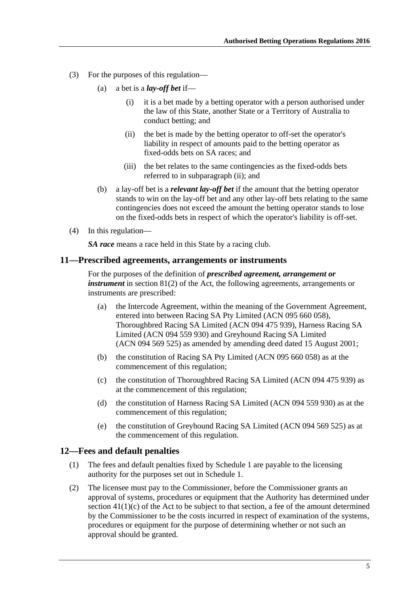- <span id="page-4-2"></span>(3) For the purposes of this regulation—
	- (a) a bet is a *lay-off bet* if—
		- (i) it is a bet made by a betting operator with a person authorised under the law of this State, another State or a Territory of Australia to conduct betting; and
		- (ii) the bet is made by the betting operator to off-set the operator's liability in respect of amounts paid to the betting operator as fixed-odds bets on SA races; and
		- (iii) the bet relates to the same contingencies as the fixed-odds bets referred to in [subparagraph](#page-4-2) (ii); and
	- (b) a lay-off bet is a *relevant lay-off bet* if the amount that the betting operator stands to win on the lay-off bet and any other lay-off bets relating to the same contingencies does not exceed the amount the betting operator stands to lose on the fixed-odds bets in respect of which the operator's liability is off-set.
- (4) In this regulation—

*SA race* means a race held in this State by a racing club.

#### <span id="page-4-0"></span>**11—Prescribed agreements, arrangements or instruments**

For the purposes of the definition of *prescribed agreement, arrangement or instrument* in section 81(2) of the Act, the following agreements, arrangements or instruments are prescribed:

- (a) the Intercode Agreement, within the meaning of the Government Agreement, entered into between Racing SA Pty Limited (ACN 095 660 058), Thoroughbred Racing SA Limited (ACN 094 475 939), Harness Racing SA Limited (ACN 094 559 930) and Greyhound Racing SA Limited (ACN 094 569 525) as amended by amending deed dated 15 August 2001;
- (b) the constitution of Racing SA Pty Limited (ACN 095 660 058) as at the commencement of this regulation;
- (c) the constitution of Thoroughbred Racing SA Limited (ACN 094 475 939) as at the commencement of this regulation;
- (d) the constitution of Harness Racing SA Limited (ACN 094 559 930) as at the commencement of this regulation;
- (e) the constitution of Greyhound Racing SA Limited (ACN 094 569 525) as at the commencement of this regulation.

#### <span id="page-4-1"></span>**12—Fees and default penalties**

- (1) The fees and default penalties fixed by [Schedule](#page-5-0) 1 are payable to the licensing authority for the purposes set out in [Schedule](#page-5-0) 1.
- <span id="page-4-3"></span>(2) The licensee must pay to the Commissioner, before the Commissioner grants an approval of systems, procedures or equipment that the Authority has determined under section  $41(1)(c)$  of the Act to be subject to that section, a fee of the amount determined by the Commissioner to be the costs incurred in respect of examination of the systems, procedures or equipment for the purpose of determining whether or not such an approval should be granted.